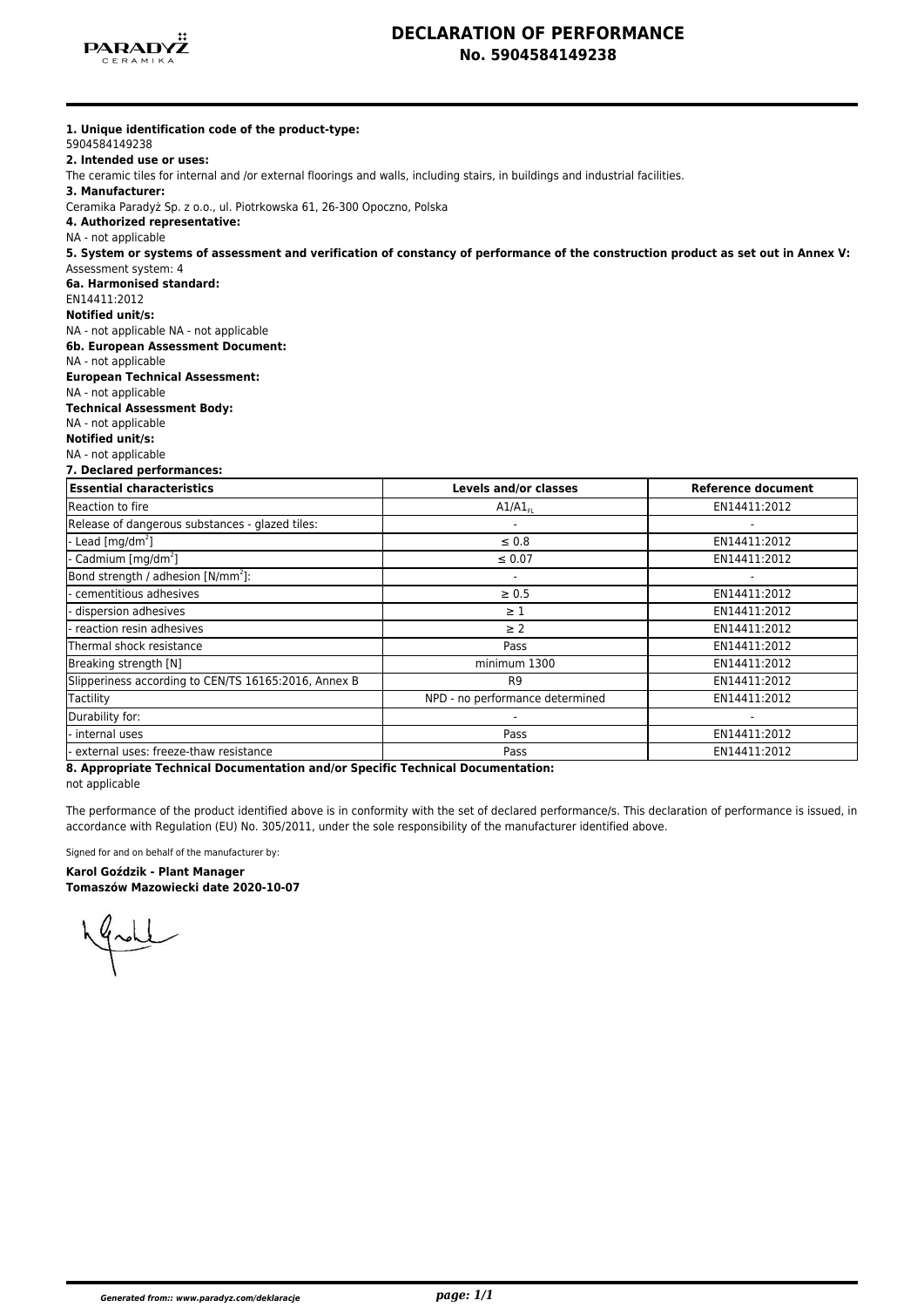

## **DECLARATION OF PERFORMANCE No. 5904584149238**

| 1. Unique identification code of the product-type:<br>5904584149238                                                                                                     |                                 |                           |  |  |                                                |  |  |  |  |
|-------------------------------------------------------------------------------------------------------------------------------------------------------------------------|---------------------------------|---------------------------|--|--|------------------------------------------------|--|--|--|--|
| 2. Intended use or uses:                                                                                                                                                |                                 |                           |  |  |                                                |  |  |  |  |
| The ceramic tiles for internal and /or external floorings and walls, including stairs, in buildings and industrial facilities.                                          |                                 |                           |  |  |                                                |  |  |  |  |
| 3. Manufacturer:                                                                                                                                                        |                                 |                           |  |  |                                                |  |  |  |  |
| Ceramika Paradyż Sp. z o.o., ul. Piotrkowska 61, 26-300 Opoczno, Polska                                                                                                 |                                 |                           |  |  |                                                |  |  |  |  |
| 4. Authorized representative:                                                                                                                                           |                                 |                           |  |  |                                                |  |  |  |  |
| NA - not applicable                                                                                                                                                     |                                 |                           |  |  |                                                |  |  |  |  |
| 5. System or systems of assessment and verification of constancy of performance of the construction product as set out in Annex V:                                      |                                 |                           |  |  |                                                |  |  |  |  |
| Assessment system: 4                                                                                                                                                    |                                 |                           |  |  |                                                |  |  |  |  |
| 6a. Harmonised standard:                                                                                                                                                |                                 |                           |  |  |                                                |  |  |  |  |
| EN14411:2012                                                                                                                                                            |                                 |                           |  |  |                                                |  |  |  |  |
| <b>Notified unit/s:</b><br>NA - not applicable NA - not applicable<br>6b. European Assessment Document:<br>NA - not applicable<br><b>European Technical Assessment:</b> |                                 |                           |  |  |                                                |  |  |  |  |
|                                                                                                                                                                         |                                 |                           |  |  | NA - not applicable                            |  |  |  |  |
|                                                                                                                                                                         |                                 |                           |  |  | <b>Technical Assessment Body:</b>              |  |  |  |  |
|                                                                                                                                                                         |                                 |                           |  |  | NA - not applicable<br><b>Notified unit/s:</b> |  |  |  |  |
| NA - not applicable                                                                                                                                                     |                                 |                           |  |  |                                                |  |  |  |  |
| 7. Declared performances:                                                                                                                                               |                                 |                           |  |  |                                                |  |  |  |  |
| <b>Essential characteristics</b>                                                                                                                                        | Levels and/or classes           | <b>Reference document</b> |  |  |                                                |  |  |  |  |
| Reaction to fire                                                                                                                                                        | $A1/A1_{FL}$                    | EN14411:2012              |  |  |                                                |  |  |  |  |
| Release of dangerous substances - glazed tiles:                                                                                                                         |                                 |                           |  |  |                                                |  |  |  |  |
| - Lead $\lceil$ mg/dm <sup>2</sup> $\rceil$                                                                                                                             | $\leq 0.8$                      | EN14411:2012              |  |  |                                                |  |  |  |  |
| - Cadmium [mg/dm <sup>2</sup> ]                                                                                                                                         | $\leq 0.07$                     | EN14411:2012              |  |  |                                                |  |  |  |  |
| Bond strength / adhesion [N/mm <sup>2</sup> ]:                                                                                                                          |                                 |                           |  |  |                                                |  |  |  |  |
| cementitious adhesives                                                                                                                                                  | $\geq 0.5$                      | EN14411:2012              |  |  |                                                |  |  |  |  |
| dispersion adhesives                                                                                                                                                    | $\geq 1$                        | EN14411:2012              |  |  |                                                |  |  |  |  |
| - reaction resin adhesives                                                                                                                                              | $\geq$ 2                        | EN14411:2012              |  |  |                                                |  |  |  |  |
| Thermal shock resistance                                                                                                                                                | Pass                            | EN14411:2012              |  |  |                                                |  |  |  |  |
| Breaking strength [N]                                                                                                                                                   | minimum 1300                    | EN14411:2012              |  |  |                                                |  |  |  |  |
| Slipperiness according to CEN/TS 16165:2016, Annex B                                                                                                                    | R <sub>9</sub>                  | EN14411:2012              |  |  |                                                |  |  |  |  |
| Tactility                                                                                                                                                               | NPD - no performance determined | EN14411:2012              |  |  |                                                |  |  |  |  |
| Durability for:                                                                                                                                                         |                                 |                           |  |  |                                                |  |  |  |  |
| internal uses                                                                                                                                                           | Pass                            | EN14411:2012              |  |  |                                                |  |  |  |  |
| external uses: freeze-thaw resistance                                                                                                                                   | Pass                            | EN14411:2012              |  |  |                                                |  |  |  |  |

**8. Appropriate Technical Documentation and/or Specific Technical Documentation:**

not applicable

The performance of the product identified above is in conformity with the set of declared performance/s. This declaration of performance is issued, in accordance with Regulation (EU) No. 305/2011, under the sole responsibility of the manufacturer identified above.

Signed for and on behalf of the manufacturer by:

# **Karol Goździk - Plant Manager**

**Tomaszów Mazowiecki date 2020-10-07**

Made